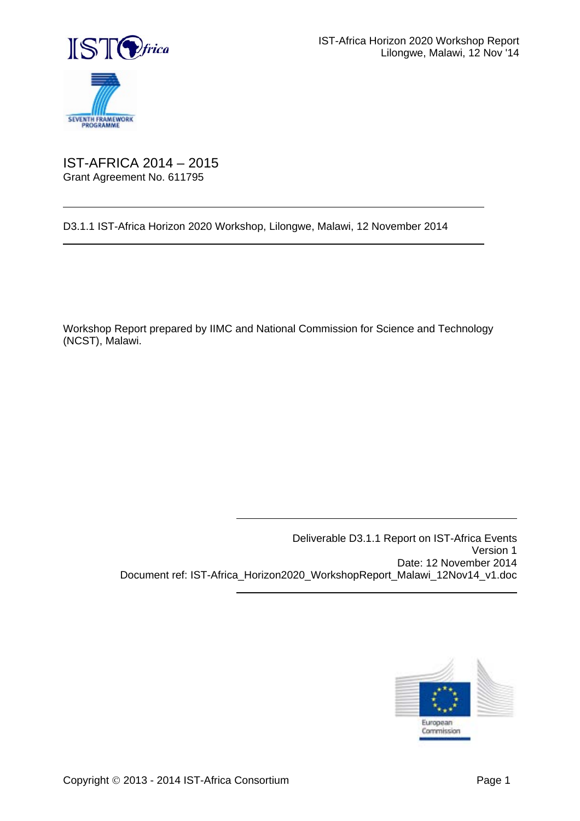

 $\overline{a}$ 

 $\overline{a}$ 

## IST-AFRICA 2014 – 2015 Grant Agreement No. 611795

D3.1.1 IST-Africa Horizon 2020 Workshop, Lilongwe, Malawi, 12 November 2014

 $\overline{a}$ 

 $\overline{a}$ 

Workshop Report prepared by IIMC and National Commission for Science and Technology (NCST), Malawi.

> Deliverable D3.1.1 Report on IST-Africa Events Version 1 Date: 12 November 2014 Document ref: IST-Africa\_Horizon2020\_WorkshopReport\_Malawi\_12Nov14\_v1.doc

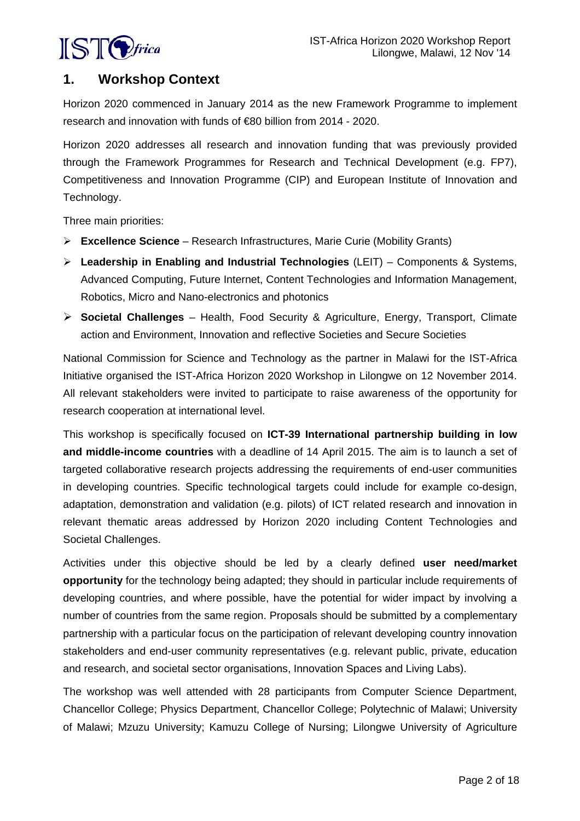

# **1. Workshop Context**

Horizon 2020 commenced in January 2014 as the new Framework Programme to implement research and innovation with funds of €80 billion from 2014 - 2020.

Horizon 2020 addresses all research and innovation funding that was previously provided through the Framework Programmes for Research and Technical Development (e.g. FP7), Competitiveness and Innovation Programme (CIP) and European Institute of Innovation and Technology.

Three main priorities:

- **Excellence Science** Research Infrastructures, Marie Curie (Mobility Grants)
- **Leadership in Enabling and Industrial Technologies** (LEIT) Components & Systems, Advanced Computing, Future Internet, Content Technologies and Information Management, Robotics, Micro and Nano-electronics and photonics
- **Societal Challenges** Health, Food Security & Agriculture, Energy, Transport, Climate action and Environment, Innovation and reflective Societies and Secure Societies

National Commission for Science and Technology as the partner in Malawi for the IST-Africa Initiative organised the IST-Africa Horizon 2020 Workshop in Lilongwe on 12 November 2014. All relevant stakeholders were invited to participate to raise awareness of the opportunity for research cooperation at international level.

This workshop is specifically focused on **ICT-39 International partnership building in low and middle-income countries** with a deadline of 14 April 2015. The aim is to launch a set of targeted collaborative research projects addressing the requirements of end-user communities in developing countries. Specific technological targets could include for example co-design, adaptation, demonstration and validation (e.g. pilots) of ICT related research and innovation in relevant thematic areas addressed by Horizon 2020 including Content Technologies and Societal Challenges.

Activities under this objective should be led by a clearly defined **user need/market opportunity** for the technology being adapted; they should in particular include requirements of developing countries, and where possible, have the potential for wider impact by involving a number of countries from the same region. Proposals should be submitted by a complementary partnership with a particular focus on the participation of relevant developing country innovation stakeholders and end-user community representatives (e.g. relevant public, private, education and research, and societal sector organisations, Innovation Spaces and Living Labs).

The workshop was well attended with 28 participants from Computer Science Department, Chancellor College; Physics Department, Chancellor College; Polytechnic of Malawi; University of Malawi; Mzuzu University; Kamuzu College of Nursing; Lilongwe University of Agriculture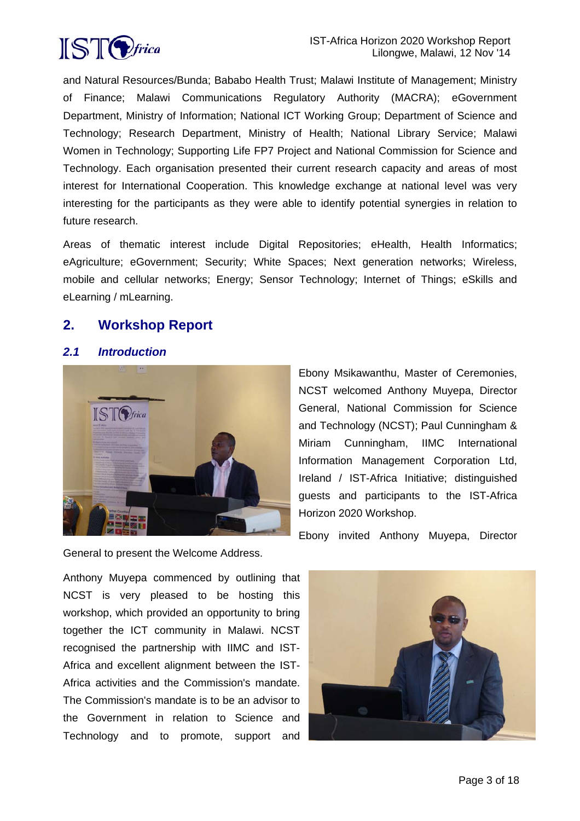

and Natural Resources/Bunda; Bababo Health Trust; Malawi Institute of Management; Ministry of Finance; Malawi Communications Regulatory Authority (MACRA); eGovernment Department, Ministry of Information; National ICT Working Group; Department of Science and Technology; Research Department, Ministry of Health; National Library Service; Malawi Women in Technology; Supporting Life FP7 Project and National Commission for Science and Technology. Each organisation presented their current research capacity and areas of most interest for International Cooperation. This knowledge exchange at national level was very interesting for the participants as they were able to identify potential synergies in relation to future research.

Areas of thematic interest include Digital Repositories; eHealth, Health Informatics; eAgriculture; eGovernment; Security; White Spaces; Next generation networks; Wireless, mobile and cellular networks; Energy; Sensor Technology; Internet of Things; eSkills and eLearning / mLearning.

## **2. Workshop Report**

## *2.1 Introduction*



Ebony Msikawanthu, Master of Ceremonies, NCST welcomed Anthony Muyepa, Director General, National Commission for Science and Technology (NCST); Paul Cunningham & Miriam Cunningham, IIMC International Information Management Corporation Ltd, Ireland / IST-Africa Initiative; distinguished guests and participants to the IST-Africa Horizon 2020 Workshop.

Ebony invited Anthony Muyepa, Director

General to present the Welcome Address.

Anthony Muyepa commenced by outlining that NCST is very pleased to be hosting this workshop, which provided an opportunity to bring together the ICT community in Malawi. NCST recognised the partnership with IIMC and IST-Africa and excellent alignment between the IST-Africa activities and the Commission's mandate. The Commission's mandate is to be an advisor to the Government in relation to Science and Technology and to promote, support and

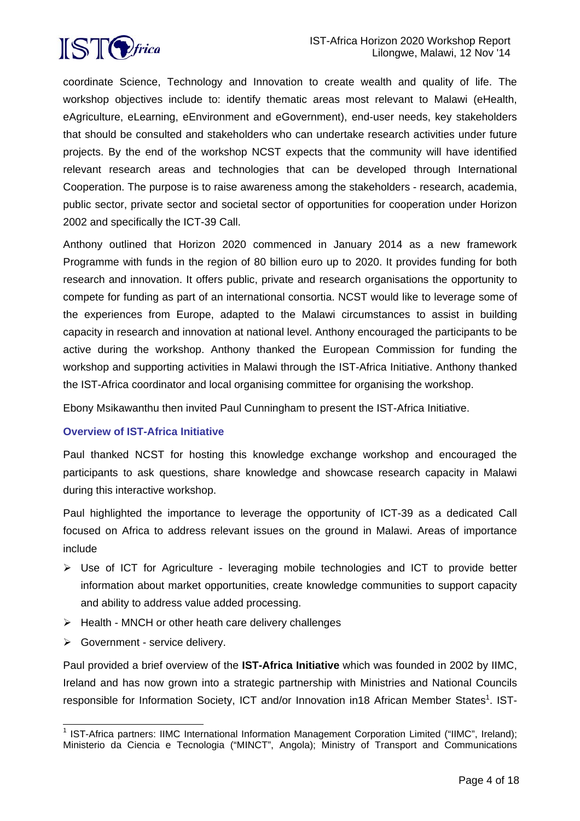

coordinate Science, Technology and Innovation to create wealth and quality of life. The workshop objectives include to: identify thematic areas most relevant to Malawi (eHealth, eAgriculture, eLearning, eEnvironment and eGovernment), end-user needs, key stakeholders that should be consulted and stakeholders who can undertake research activities under future projects. By the end of the workshop NCST expects that the community will have identified relevant research areas and technologies that can be developed through International Cooperation. The purpose is to raise awareness among the stakeholders - research, academia, public sector, private sector and societal sector of opportunities for cooperation under Horizon 2002 and specifically the ICT-39 Call.

Anthony outlined that Horizon 2020 commenced in January 2014 as a new framework Programme with funds in the region of 80 billion euro up to 2020. It provides funding for both research and innovation. It offers public, private and research organisations the opportunity to compete for funding as part of an international consortia. NCST would like to leverage some of the experiences from Europe, adapted to the Malawi circumstances to assist in building capacity in research and innovation at national level. Anthony encouraged the participants to be active during the workshop. Anthony thanked the European Commission for funding the workshop and supporting activities in Malawi through the IST-Africa Initiative. Anthony thanked the IST-Africa coordinator and local organising committee for organising the workshop.

Ebony Msikawanthu then invited Paul Cunningham to present the IST-Africa Initiative.

#### **Overview of IST-Africa Initiative**

Paul thanked NCST for hosting this knowledge exchange workshop and encouraged the participants to ask questions, share knowledge and showcase research capacity in Malawi during this interactive workshop.

Paul highlighted the importance to leverage the opportunity of ICT-39 as a dedicated Call focused on Africa to address relevant issues on the ground in Malawi. Areas of importance include

- Use of ICT for Agriculture leveraging mobile technologies and ICT to provide better information about market opportunities, create knowledge communities to support capacity and ability to address value added processing.
- $\triangleright$  Health MNCH or other heath care delivery challenges
- Sovernment service delivery.

Paul provided a brief overview of the **IST-Africa Initiative** which was founded in 2002 by IIMC, Ireland and has now grown into a strategic partnership with Ministries and National Councils responsible for Information Society, ICT and/or Innovation in18 African Member States<sup>1</sup>. IST-

l <sup>1</sup> IST-Africa partners: IIMC International Information Management Corporation Limited ("IIMC", Ireland); Ministerio da Ciencia e Tecnologia ("MINCT", Angola); Ministry of Transport and Communications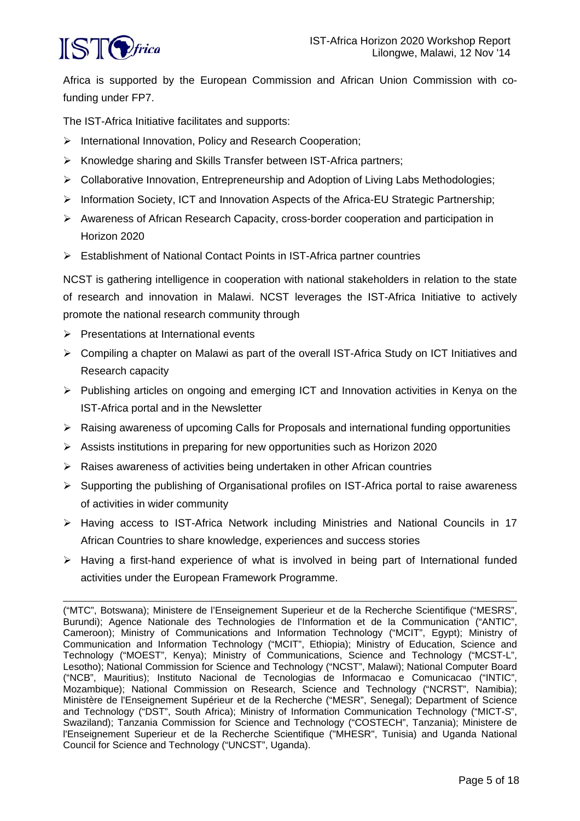

Africa is supported by the European Commission and African Union Commission with cofunding under FP7.

The IST-Africa Initiative facilitates and supports:

- International Innovation, Policy and Research Cooperation;
- $\triangleright$  Knowledge sharing and Skills Transfer between IST-Africa partners;
- $\triangleright$  Collaborative Innovation, Entrepreneurship and Adoption of Living Labs Methodologies;
- $\triangleright$  Information Society, ICT and Innovation Aspects of the Africa-EU Strategic Partnership;
- $\triangleright$  Awareness of African Research Capacity, cross-border cooperation and participation in Horizon 2020
- $\triangleright$  Establishment of National Contact Points in IST-Africa partner countries

NCST is gathering intelligence in cooperation with national stakeholders in relation to the state of research and innovation in Malawi. NCST leverages the IST-Africa Initiative to actively promote the national research community through

- $\triangleright$  Presentations at International events
- Compiling a chapter on Malawi as part of the overall IST-Africa Study on ICT Initiatives and Research capacity
- $\triangleright$  Publishing articles on ongoing and emerging ICT and Innovation activities in Kenya on the IST-Africa portal and in the Newsletter
- Raising awareness of upcoming Calls for Proposals and international funding opportunities
- Assists institutions in preparing for new opportunities such as Horizon 2020
- $\triangleright$  Raises awareness of activities being undertaken in other African countries
- $\triangleright$  Supporting the publishing of Organisational profiles on IST-Africa portal to raise awareness of activities in wider community
- Having access to IST-Africa Network including Ministries and National Councils in 17 African Countries to share knowledge, experiences and success stories
- $\triangleright$  Having a first-hand experience of what is involved in being part of International funded activities under the European Framework Programme.

<sup>-</sup>("MTC", Botswana); Ministere de l'Enseignement Superieur et de la Recherche Scientifique ("MESRS", Burundi); Agence Nationale des Technologies de l'Information et de la Communication ("ANTIC", Cameroon); Ministry of Communications and Information Technology ("MCIT", Egypt); Ministry of Communication and Information Technology ("MCIT", Ethiopia); Ministry of Education, Science and Technology ("MOEST", Kenya); Ministry of Communications, Science and Technology ("MCST-L", Lesotho); National Commission for Science and Technology ("NCST", Malawi); National Computer Board ("NCB", Mauritius); Instituto Nacional de Tecnologias de Informacao e Comunicacao ("INTIC", Mozambique); National Commission on Research, Science and Technology ("NCRST", Namibia); Ministère de l'Enseignement Supérieur et de la Recherche ("MESR", Senegal); Department of Science and Technology ("DST", South Africa); Ministry of Information Communication Technology ("MICT-S", Swaziland); Tanzania Commission for Science and Technology ("COSTECH", Tanzania); Ministere de l'Enseignement Superieur et de la Recherche Scientifique ("MHESR", Tunisia) and Uganda National Council for Science and Technology ("UNCST", Uganda).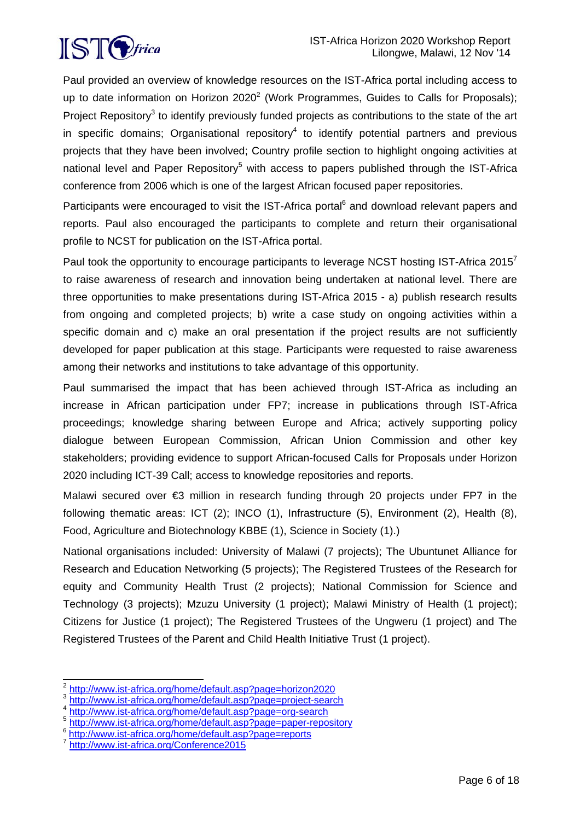

Paul provided an overview of knowledge resources on the IST-Africa portal including access to up to date information on Horizon 2020<sup>2</sup> (Work Programmes, Guides to Calls for Proposals); Project Repository<sup>3</sup> to identify previously funded projects as contributions to the state of the art in specific domains; Organisational repository<sup>4</sup> to identify potential partners and previous projects that they have been involved; Country profile section to highlight ongoing activities at national level and Paper Repository<sup>5</sup> with access to papers published through the IST-Africa conference from 2006 which is one of the largest African focused paper repositories.

Participants were encouraged to visit the IST-Africa portal<sup>6</sup> and download relevant papers and reports. Paul also encouraged the participants to complete and return their organisational profile to NCST for publication on the IST-Africa portal.

Paul took the opportunity to encourage participants to leverage NCST hosting IST-Africa 2015<sup>7</sup> to raise awareness of research and innovation being undertaken at national level. There are three opportunities to make presentations during IST-Africa 2015 - a) publish research results from ongoing and completed projects; b) write a case study on ongoing activities within a specific domain and c) make an oral presentation if the project results are not sufficiently developed for paper publication at this stage. Participants were requested to raise awareness among their networks and institutions to take advantage of this opportunity.

Paul summarised the impact that has been achieved through IST-Africa as including an increase in African participation under FP7; increase in publications through IST-Africa proceedings; knowledge sharing between Europe and Africa; actively supporting policy dialogue between European Commission, African Union Commission and other key stakeholders; providing evidence to support African-focused Calls for Proposals under Horizon 2020 including ICT-39 Call; access to knowledge repositories and reports.

Malawi secured over €3 million in research funding through 20 projects under FP7 in the following thematic areas: ICT (2); INCO (1), Infrastructure (5), Environment (2), Health (8), Food, Agriculture and Biotechnology KBBE (1), Science in Society (1).)

National organisations included: University of Malawi (7 projects); The Ubuntunet Alliance for Research and Education Networking (5 projects); The Registered Trustees of the Research for equity and Community Health Trust (2 projects); National Commission for Science and Technology (3 projects); Mzuzu University (1 project); Malawi Ministry of Health (1 project); Citizens for Justice (1 project); The Registered Trustees of the Ungweru (1 project) and The Registered Trustees of the Parent and Child Health Initiative Trust (1 project).

l

<sup>&</sup>lt;sup>2</sup> http://www.ist-africa.org/home/default.asp?page=horizon2020

<sup>3</sup> http://www.ist-africa.org/home/default.asp?page=project-search

<sup>4</sup> http://www.ist-africa.org/home/default.asp?page=org-search

<sup>5</sup> http://www.ist-africa.org/home/default.asp?page=paper-repository

<sup>6</sup> http://www.ist-africa.org/home/default.asp?page=reports<br>7 http://www.ist-africa.org/Conferenc<u>e2015</u>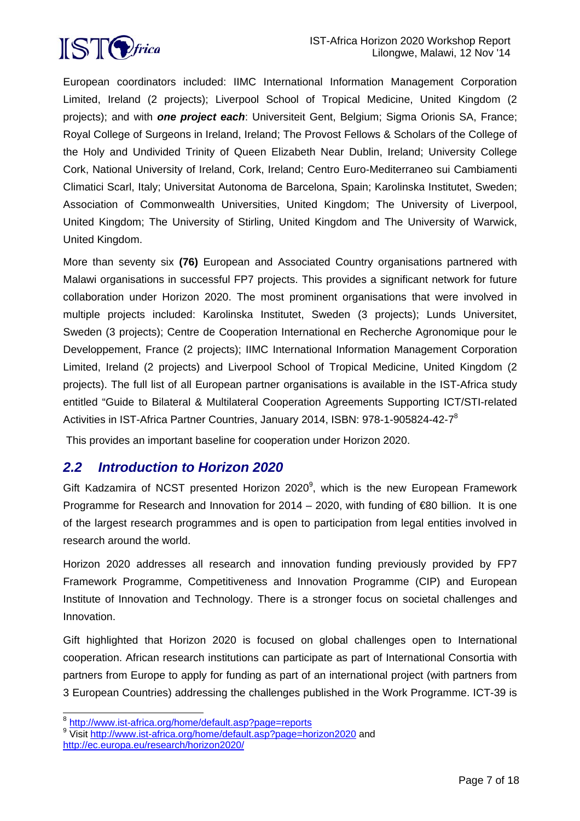

European coordinators included: IIMC International Information Management Corporation Limited, Ireland (2 projects); Liverpool School of Tropical Medicine, United Kingdom (2 projects); and with *one project each*: Universiteit Gent, Belgium; Sigma Orionis SA, France; Royal College of Surgeons in Ireland, Ireland; The Provost Fellows & Scholars of the College of the Holy and Undivided Trinity of Queen Elizabeth Near Dublin, Ireland; University College Cork, National University of Ireland, Cork, Ireland; Centro Euro-Mediterraneo sui Cambiamenti Climatici Scarl, Italy; Universitat Autonoma de Barcelona, Spain; Karolinska Institutet, Sweden; Association of Commonwealth Universities, United Kingdom; The University of Liverpool, United Kingdom; The University of Stirling, United Kingdom and The University of Warwick, United Kingdom.

More than seventy six **(76)** European and Associated Country organisations partnered with Malawi organisations in successful FP7 projects. This provides a significant network for future collaboration under Horizon 2020. The most prominent organisations that were involved in multiple projects included: Karolinska Institutet, Sweden (3 projects); Lunds Universitet, Sweden (3 projects); Centre de Cooperation International en Recherche Agronomique pour le Developpement, France (2 projects); IIMC International Information Management Corporation Limited, Ireland (2 projects) and Liverpool School of Tropical Medicine, United Kingdom (2 projects). The full list of all European partner organisations is available in the IST-Africa study entitled "Guide to Bilateral & Multilateral Cooperation Agreements Supporting ICT/STI-related Activities in IST-Africa Partner Countries, January 2014, ISBN: 978-1-905824-42-7<sup>8</sup>

This provides an important baseline for cooperation under Horizon 2020.

# *2.2 Introduction to Horizon 2020*

Gift Kadzamira of NCST presented Horizon 2020 $^9$ , which is the new European Framework Programme for Research and Innovation for 2014 – 2020, with funding of  $\epsilon$ 80 billion. It is one of the largest research programmes and is open to participation from legal entities involved in research around the world.

Horizon 2020 addresses all research and innovation funding previously provided by FP7 Framework Programme, Competitiveness and Innovation Programme (CIP) and European Institute of Innovation and Technology. There is a stronger focus on societal challenges and Innovation.

Gift highlighted that Horizon 2020 is focused on global challenges open to International cooperation. African research institutions can participate as part of International Consortia with partners from Europe to apply for funding as part of an international project (with partners from 3 European Countries) addressing the challenges published in the Work Programme. ICT-39 is

l

<sup>&</sup>lt;sup>8</sup> http://www.ist-africa.org/home/default.asp?page=reports

<sup>&</sup>lt;sup>9</sup> Visit http://www.ist-africa.org/home/default.asp?page=horizon2020 and http://ec.europa.eu/research/horizon2020/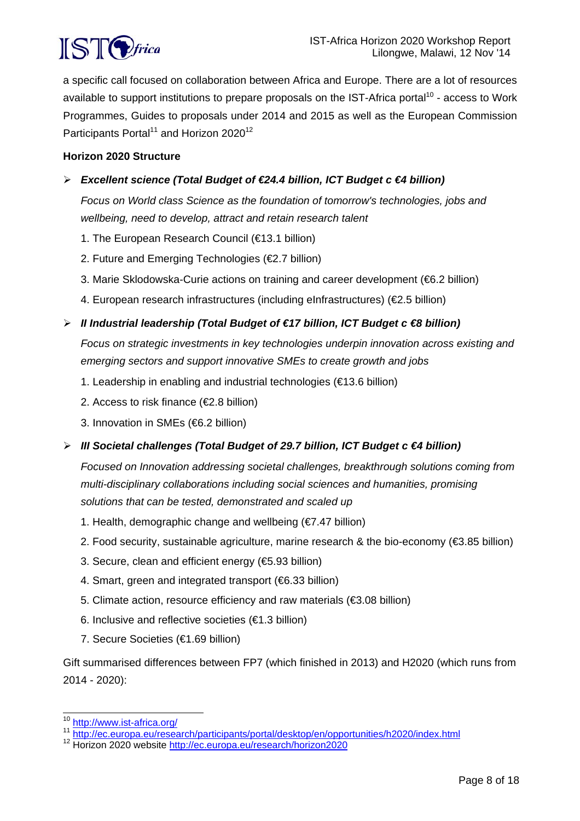

a specific call focused on collaboration between Africa and Europe. There are a lot of resources available to support institutions to prepare proposals on the IST-Africa portal<sup>10</sup> - access to Work Programmes, Guides to proposals under 2014 and 2015 as well as the European Commission Participants Portal<sup>11</sup> and Horizon 2020<sup>12</sup>

#### **Horizon 2020 Structure**

## *Excellent science (Total Budget of €24.4 billion, ICT Budget c €4 billion)*

*Focus on World class Science as the foundation of tomorrow's technologies, jobs and wellbeing, need to develop, attract and retain research talent* 

- 1. The European Research Council (€13.1 billion)
- 2. Future and Emerging Technologies (€2.7 billion)
- 3. Marie Sklodowska-Curie actions on training and career development (€6.2 billion)
- 4. European research infrastructures (including eInfrastructures) (€2.5 billion)

#### *II Industrial leadership (Total Budget of €17 billion, ICT Budget c €8 billion)*

*Focus on strategic investments in key technologies underpin innovation across existing and emerging sectors and support innovative SMEs to create growth and jobs* 

- 1. Leadership in enabling and industrial technologies (€13.6 billion)
- 2. Access to risk finance (€2.8 billion)
- 3. Innovation in SMEs (€6.2 billion)
- *III Societal challenges (Total Budget of 29.7 billion, ICT Budget c €4 billion)*

*Focused on Innovation addressing societal challenges, breakthrough solutions coming from multi-disciplinary collaborations including social sciences and humanities, promising solutions that can be tested, demonstrated and scaled up* 

- 1. Health, demographic change and wellbeing (€7.47 billion)
- 2. Food security, sustainable agriculture, marine research & the bio-economy (€3.85 billion)
- 3. Secure, clean and efficient energy (€5.93 billion)
- 4. Smart, green and integrated transport (€6.33 billion)
- 5. Climate action, resource efficiency and raw materials (€3.08 billion)
- 6. Inclusive and reflective societies (€1.3 billion)
- 7. Secure Societies (€1.69 billion)

Gift summarised differences between FP7 (which finished in 2013) and H2020 (which runs from 2014 - 2020):

l

<sup>&</sup>lt;sup>10</sup> <u>http://www.ist-africa.org/</u><br><sup>11</sup> <u>http://ec.europa.eu/research/participants/portal/desktop/en/opportunities/h2020/index.html<br><sup>12</sup> Horizon 2020 website <u>http://ec.europa.eu/research/horizon2020</u></u>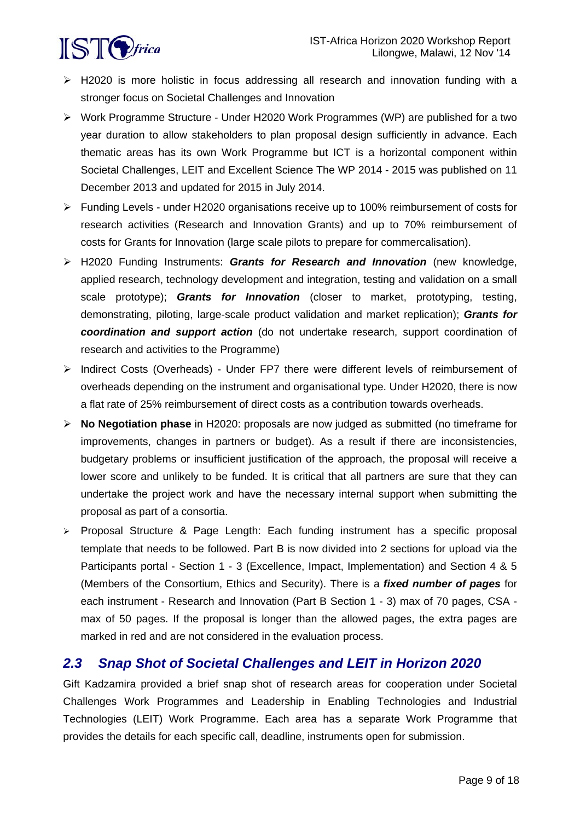

- $\triangleright$  H2020 is more holistic in focus addressing all research and innovation funding with a stronger focus on Societal Challenges and Innovation
- Work Programme Structure Under H2020 Work Programmes (WP) are published for a two year duration to allow stakeholders to plan proposal design sufficiently in advance. Each thematic areas has its own Work Programme but ICT is a horizontal component within Societal Challenges, LEIT and Excellent Science The WP 2014 - 2015 was published on 11 December 2013 and updated for 2015 in July 2014.
- Funding Levels under H2020 organisations receive up to 100% reimbursement of costs for research activities (Research and Innovation Grants) and up to 70% reimbursement of costs for Grants for Innovation (large scale pilots to prepare for commercalisation).
- H2020 Funding Instruments: *Grants for Research and Innovation* (new knowledge, applied research, technology development and integration, testing and validation on a small scale prototype); *Grants for Innovation* (closer to market, prototyping, testing, demonstrating, piloting, large-scale product validation and market replication); *Grants for coordination and support action* (do not undertake research, support coordination of research and activities to the Programme)
- $\triangleright$  Indirect Costs (Overheads) Under FP7 there were different levels of reimbursement of overheads depending on the instrument and organisational type. Under H2020, there is now a flat rate of 25% reimbursement of direct costs as a contribution towards overheads.
- **No Negotiation phase** in H2020: proposals are now judged as submitted (no timeframe for improvements, changes in partners or budget). As a result if there are inconsistencies, budgetary problems or insufficient justification of the approach, the proposal will receive a lower score and unlikely to be funded. It is critical that all partners are sure that they can undertake the project work and have the necessary internal support when submitting the proposal as part of a consortia.
- $\triangleright$  Proposal Structure & Page Length: Each funding instrument has a specific proposal template that needs to be followed. Part B is now divided into 2 sections for upload via the Participants portal - Section 1 - 3 (Excellence, Impact, Implementation) and Section 4 & 5 (Members of the Consortium, Ethics and Security). There is a *fixed number of pages* for each instrument - Research and Innovation (Part B Section 1 - 3) max of 70 pages, CSA max of 50 pages. If the proposal is longer than the allowed pages, the extra pages are marked in red and are not considered in the evaluation process.

# *2.3 Snap Shot of Societal Challenges and LEIT in Horizon 2020*

Gift Kadzamira provided a brief snap shot of research areas for cooperation under Societal Challenges Work Programmes and Leadership in Enabling Technologies and Industrial Technologies (LEIT) Work Programme. Each area has a separate Work Programme that provides the details for each specific call, deadline, instruments open for submission.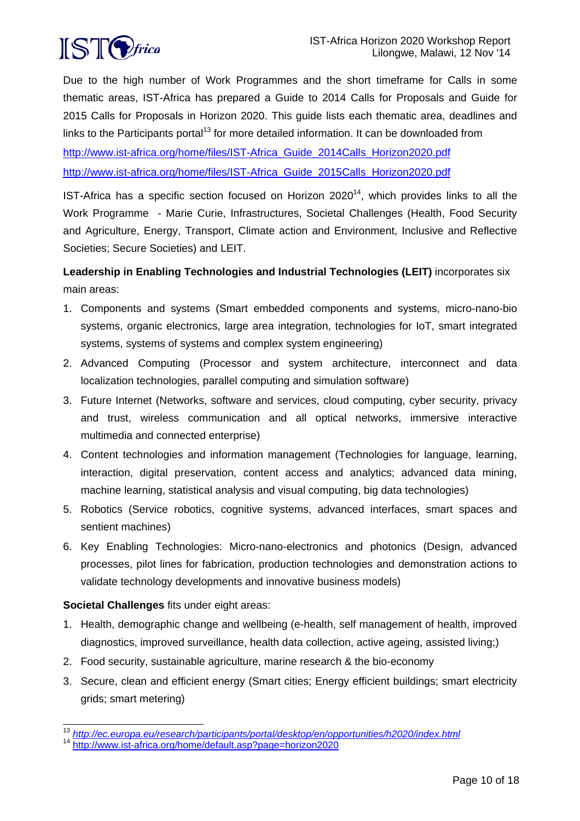

Due to the high number of Work Programmes and the short timeframe for Calls in some thematic areas, IST-Africa has prepared a Guide to 2014 Calls for Proposals and Guide for 2015 Calls for Proposals in Horizon 2020. This guide lists each thematic area, deadlines and links to the Participants portal<sup>13</sup> for more detailed information. It can be downloaded from

http://www.ist-africa.org/home/files/IST-Africa\_Guide\_2014Calls\_Horizon2020.pdf http://www.ist-africa.org/home/files/IST-Africa\_Guide\_2015Calls\_Horizon2020.pdf

IST-Africa has a specific section focused on Horizon  $2020^{14}$ , which provides links to all the Work Programme - Marie Curie, Infrastructures, Societal Challenges (Health, Food Security and Agriculture, Energy, Transport, Climate action and Environment, Inclusive and Reflective Societies; Secure Societies) and LEIT.

## **Leadership in Enabling Technologies and Industrial Technologies (LEIT)** incorporates six main areas:

- 1. Components and systems (Smart embedded components and systems, micro-nano-bio systems, organic electronics, large area integration, technologies for IoT, smart integrated systems, systems of systems and complex system engineering)
- 2. Advanced Computing (Processor and system architecture, interconnect and data localization technologies, parallel computing and simulation software)
- 3. Future Internet (Networks, software and services, cloud computing, cyber security, privacy and trust, wireless communication and all optical networks, immersive interactive multimedia and connected enterprise)
- 4. Content technologies and information management (Technologies for language, learning, interaction, digital preservation, content access and analytics; advanced data mining, machine learning, statistical analysis and visual computing, big data technologies)
- 5. Robotics (Service robotics, cognitive systems, advanced interfaces, smart spaces and sentient machines)
- 6. Key Enabling Technologies: Micro-nano-electronics and photonics (Design, advanced processes, pilot lines for fabrication, production technologies and demonstration actions to validate technology developments and innovative business models)

## **Societal Challenges** fits under eight areas:

- 1. Health, demographic change and wellbeing (e-health, self management of health, improved diagnostics, improved surveillance, health data collection, active ageing, assisted living;)
- 2. Food security, sustainable agriculture, marine research & the bio-economy
- 3. Secure, clean and efficient energy (Smart cities; Energy efficient buildings; smart electricity grids; smart metering)

l <sup>13</sup> *http://ec.europa.eu/research/participants/portal/desktop/en/opportunities/h2020/index.html*

<sup>14</sup> http://www.ist-africa.org/home/default.asp?page=horizon2020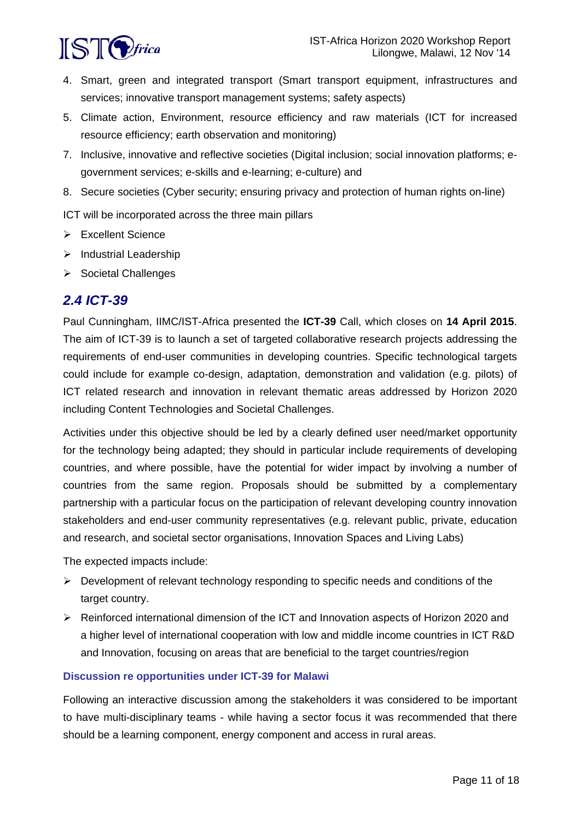

- 4. Smart, green and integrated transport (Smart transport equipment, infrastructures and services; innovative transport management systems; safety aspects)
- 5. Climate action, Environment, resource efficiency and raw materials (ICT for increased resource efficiency; earth observation and monitoring)
- 7. Inclusive, innovative and reflective societies (Digital inclusion; social innovation platforms; egovernment services; e-skills and e-learning; e-culture) and
- 8. Secure societies (Cyber security; ensuring privacy and protection of human rights on-line)

ICT will be incorporated across the three main pillars

- Excellent Science
- $\triangleright$  Industrial Leadership
- $\triangleright$  Societal Challenges

## *2.4 ICT-39*

Paul Cunningham, IIMC/IST-Africa presented the **ICT-39** Call, which closes on **14 April 2015**. The aim of ICT-39 is to launch a set of targeted collaborative research projects addressing the requirements of end-user communities in developing countries. Specific technological targets could include for example co-design, adaptation, demonstration and validation (e.g. pilots) of ICT related research and innovation in relevant thematic areas addressed by Horizon 2020 including Content Technologies and Societal Challenges.

Activities under this objective should be led by a clearly defined user need/market opportunity for the technology being adapted; they should in particular include requirements of developing countries, and where possible, have the potential for wider impact by involving a number of countries from the same region. Proposals should be submitted by a complementary partnership with a particular focus on the participation of relevant developing country innovation stakeholders and end-user community representatives (e.g. relevant public, private, education and research, and societal sector organisations, Innovation Spaces and Living Labs)

The expected impacts include:

- $\triangleright$  Development of relevant technology responding to specific needs and conditions of the target country.
- Reinforced international dimension of the ICT and Innovation aspects of Horizon 2020 and a higher level of international cooperation with low and middle income countries in ICT R&D and Innovation, focusing on areas that are beneficial to the target countries/region

#### **Discussion re opportunities under ICT-39 for Malawi**

Following an interactive discussion among the stakeholders it was considered to be important to have multi-disciplinary teams - while having a sector focus it was recommended that there should be a learning component, energy component and access in rural areas.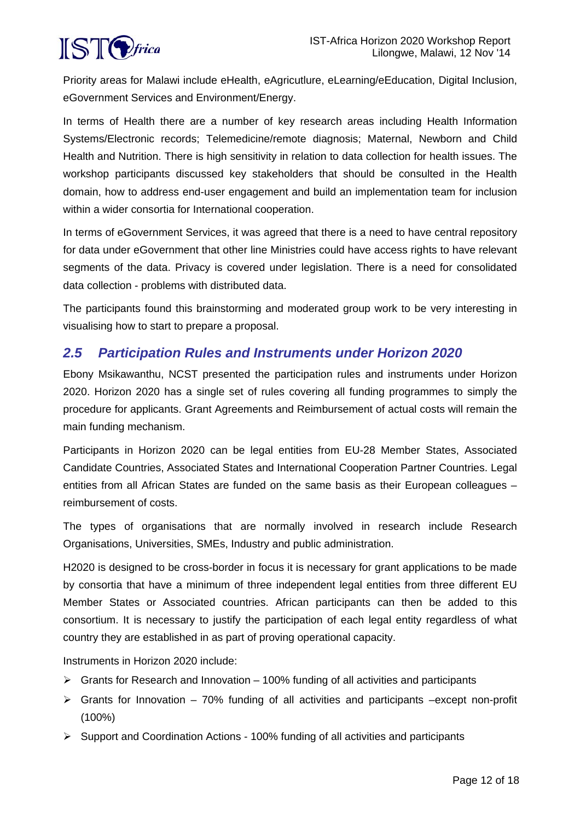

Priority areas for Malawi include eHealth, eAgricutlure, eLearning/eEducation, Digital Inclusion, eGovernment Services and Environment/Energy.

In terms of Health there are a number of key research areas including Health Information Systems/Electronic records; Telemedicine/remote diagnosis; Maternal, Newborn and Child Health and Nutrition. There is high sensitivity in relation to data collection for health issues. The workshop participants discussed key stakeholders that should be consulted in the Health domain, how to address end-user engagement and build an implementation team for inclusion within a wider consortia for International cooperation.

In terms of eGovernment Services, it was agreed that there is a need to have central repository for data under eGovernment that other line Ministries could have access rights to have relevant segments of the data. Privacy is covered under legislation. There is a need for consolidated data collection - problems with distributed data.

The participants found this brainstorming and moderated group work to be very interesting in visualising how to start to prepare a proposal.

# *2.5 Participation Rules and Instruments under Horizon 2020*

Ebony Msikawanthu, NCST presented the participation rules and instruments under Horizon 2020. Horizon 2020 has a single set of rules covering all funding programmes to simply the procedure for applicants. Grant Agreements and Reimbursement of actual costs will remain the main funding mechanism.

Participants in Horizon 2020 can be legal entities from EU-28 Member States, Associated Candidate Countries, Associated States and International Cooperation Partner Countries. Legal entities from all African States are funded on the same basis as their European colleagues – reimbursement of costs.

The types of organisations that are normally involved in research include Research Organisations, Universities, SMEs, Industry and public administration.

H2020 is designed to be cross-border in focus it is necessary for grant applications to be made by consortia that have a minimum of three independent legal entities from three different EU Member States or Associated countries. African participants can then be added to this consortium. It is necessary to justify the participation of each legal entity regardless of what country they are established in as part of proving operational capacity.

Instruments in Horizon 2020 include:

- $\triangleright$  Grants for Research and Innovation 100% funding of all activities and participants
- $\triangleright$  Grants for Innovation 70% funding of all activities and participants –except non-profit (100%)
- $\triangleright$  Support and Coordination Actions 100% funding of all activities and participants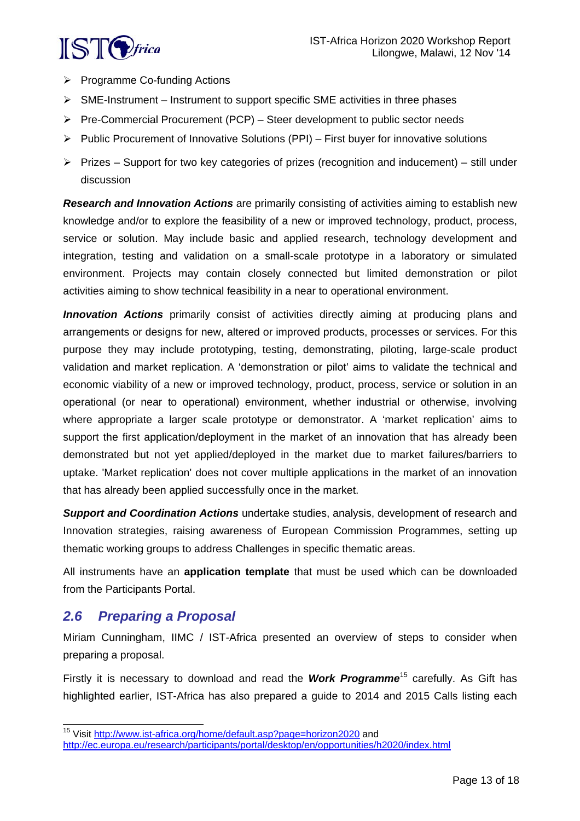

- $\triangleright$  Programme Co-funding Actions
- $\triangleright$  SME-Instrument Instrument to support specific SME activities in three phases
- $\triangleright$  Pre-Commercial Procurement (PCP) Steer development to public sector needs
- $\triangleright$  Public Procurement of Innovative Solutions (PPI) First buyer for innovative solutions
- $\triangleright$  Prizes Support for two key categories of prizes (recognition and inducement) still under discussion

*Research and Innovation Actions* are primarily consisting of activities aiming to establish new knowledge and/or to explore the feasibility of a new or improved technology, product, process, service or solution. May include basic and applied research, technology development and integration, testing and validation on a small-scale prototype in a laboratory or simulated environment. Projects may contain closely connected but limited demonstration or pilot activities aiming to show technical feasibility in a near to operational environment.

*Innovation Actions* primarily consist of activities directly aiming at producing plans and arrangements or designs for new, altered or improved products, processes or services. For this purpose they may include prototyping, testing, demonstrating, piloting, large-scale product validation and market replication. A 'demonstration or pilot' aims to validate the technical and economic viability of a new or improved technology, product, process, service or solution in an operational (or near to operational) environment, whether industrial or otherwise, involving where appropriate a larger scale prototype or demonstrator. A 'market replication' aims to support the first application/deployment in the market of an innovation that has already been demonstrated but not yet applied/deployed in the market due to market failures/barriers to uptake. 'Market replication' does not cover multiple applications in the market of an innovation that has already been applied successfully once in the market.

*Support and Coordination Actions* undertake studies, analysis, development of research and Innovation strategies, raising awareness of European Commission Programmes, setting up thematic working groups to address Challenges in specific thematic areas.

All instruments have an **application template** that must be used which can be downloaded from the Participants Portal.

## *2.6 Preparing a Proposal*

l

Miriam Cunningham, IIMC / IST-Africa presented an overview of steps to consider when preparing a proposal.

Firstly it is necessary to download and read the *Work Programme*15 carefully. As Gift has highlighted earlier, IST-Africa has also prepared a guide to 2014 and 2015 Calls listing each

<sup>&</sup>lt;sup>15</sup> Visit http://www.ist-africa.org/home/default.asp?page=horizon2020 and http://ec.europa.eu/research/participants/portal/desktop/en/opportunities/h2020/index.html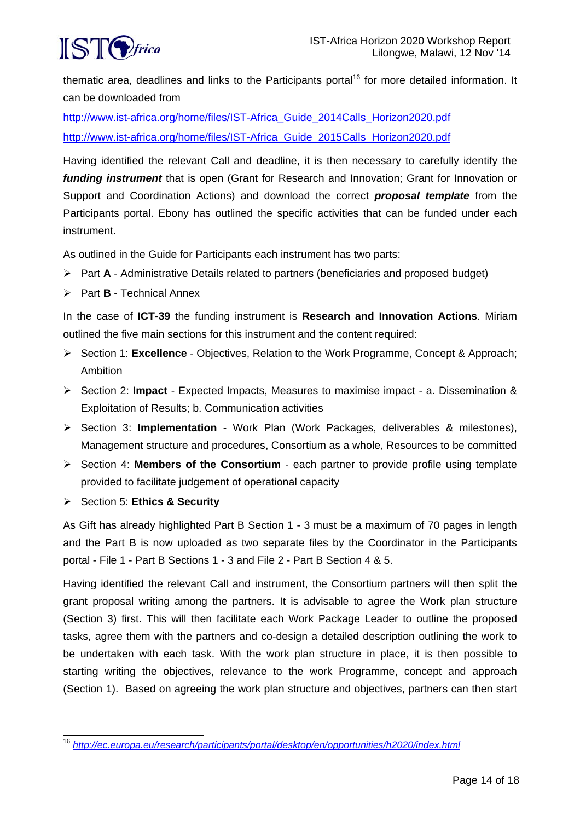

thematic area, deadlines and links to the Participants portal<sup>16</sup> for more detailed information. It can be downloaded from

http://www.ist-africa.org/home/files/IST-Africa\_Guide\_2014Calls\_Horizon2020.pdf http://www.ist-africa.org/home/files/IST-Africa\_Guide\_2015Calls\_Horizon2020.pdf

Having identified the relevant Call and deadline, it is then necessary to carefully identify the *funding instrument* that is open (Grant for Research and Innovation; Grant for Innovation or Support and Coordination Actions) and download the correct *proposal template* from the Participants portal. Ebony has outlined the specific activities that can be funded under each instrument.

As outlined in the Guide for Participants each instrument has two parts:

- Part **A** Administrative Details related to partners (beneficiaries and proposed budget)
- Part **B** Technical Annex

In the case of **ICT-39** the funding instrument is **Research and Innovation Actions**. Miriam outlined the five main sections for this instrument and the content required:

- Section 1: **Excellence** Objectives, Relation to the Work Programme, Concept & Approach; Ambition
- Section 2: **Impact**  Expected Impacts, Measures to maximise impact a. Dissemination & Exploitation of Results; b. Communication activities
- Section 3: **Implementation** Work Plan (Work Packages, deliverables & milestones), Management structure and procedures, Consortium as a whole, Resources to be committed
- $\triangleright$  Section 4: **Members of the Consortium** each partner to provide profile using template provided to facilitate judgement of operational capacity
- Section 5: **Ethics & Security**

As Gift has already highlighted Part B Section 1 - 3 must be a maximum of 70 pages in length and the Part B is now uploaded as two separate files by the Coordinator in the Participants portal - File 1 - Part B Sections 1 - 3 and File 2 - Part B Section 4 & 5.

Having identified the relevant Call and instrument, the Consortium partners will then split the grant proposal writing among the partners. It is advisable to agree the Work plan structure (Section 3) first. This will then facilitate each Work Package Leader to outline the proposed tasks, agree them with the partners and co-design a detailed description outlining the work to be undertaken with each task. With the work plan structure in place, it is then possible to starting writing the objectives, relevance to the work Programme, concept and approach (Section 1). Based on agreeing the work plan structure and objectives, partners can then start

l <sup>16</sup> *http://ec.europa.eu/research/participants/portal/desktop/en/opportunities/h2020/index.html*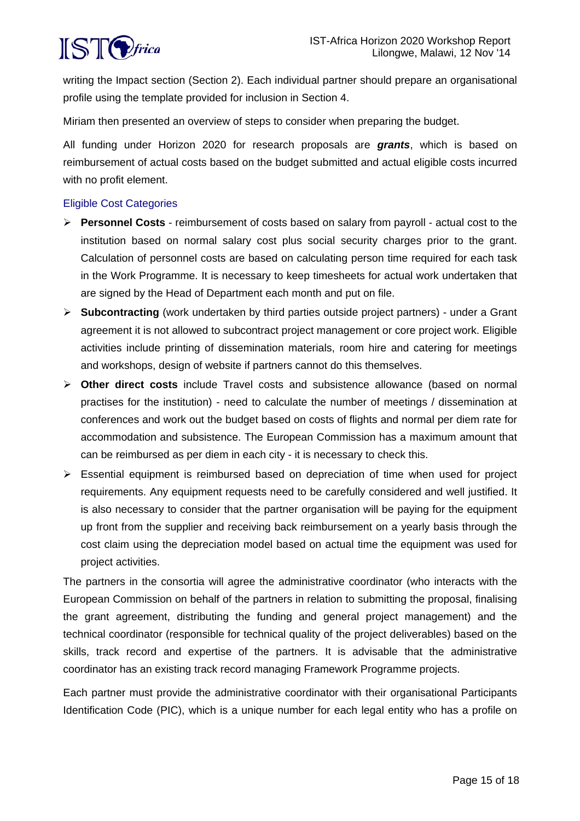

writing the Impact section (Section 2). Each individual partner should prepare an organisational profile using the template provided for inclusion in Section 4.

Miriam then presented an overview of steps to consider when preparing the budget.

All funding under Horizon 2020 for research proposals are *grants*, which is based on reimbursement of actual costs based on the budget submitted and actual eligible costs incurred with no profit element.

#### Eligible Cost Categories

- **Personnel Costs** reimbursement of costs based on salary from payroll actual cost to the institution based on normal salary cost plus social security charges prior to the grant. Calculation of personnel costs are based on calculating person time required for each task in the Work Programme. It is necessary to keep timesheets for actual work undertaken that are signed by the Head of Department each month and put on file.
- **Subcontracting** (work undertaken by third parties outside project partners) under a Grant agreement it is not allowed to subcontract project management or core project work. Eligible activities include printing of dissemination materials, room hire and catering for meetings and workshops, design of website if partners cannot do this themselves.
- **Other direct costs** include Travel costs and subsistence allowance (based on normal practises for the institution) - need to calculate the number of meetings / dissemination at conferences and work out the budget based on costs of flights and normal per diem rate for accommodation and subsistence. The European Commission has a maximum amount that can be reimbursed as per diem in each city - it is necessary to check this.
- Essential equipment is reimbursed based on depreciation of time when used for project requirements. Any equipment requests need to be carefully considered and well justified. It is also necessary to consider that the partner organisation will be paying for the equipment up front from the supplier and receiving back reimbursement on a yearly basis through the cost claim using the depreciation model based on actual time the equipment was used for project activities.

The partners in the consortia will agree the administrative coordinator (who interacts with the European Commission on behalf of the partners in relation to submitting the proposal, finalising the grant agreement, distributing the funding and general project management) and the technical coordinator (responsible for technical quality of the project deliverables) based on the skills, track record and expertise of the partners. It is advisable that the administrative coordinator has an existing track record managing Framework Programme projects.

Each partner must provide the administrative coordinator with their organisational Participants Identification Code (PIC), which is a unique number for each legal entity who has a profile on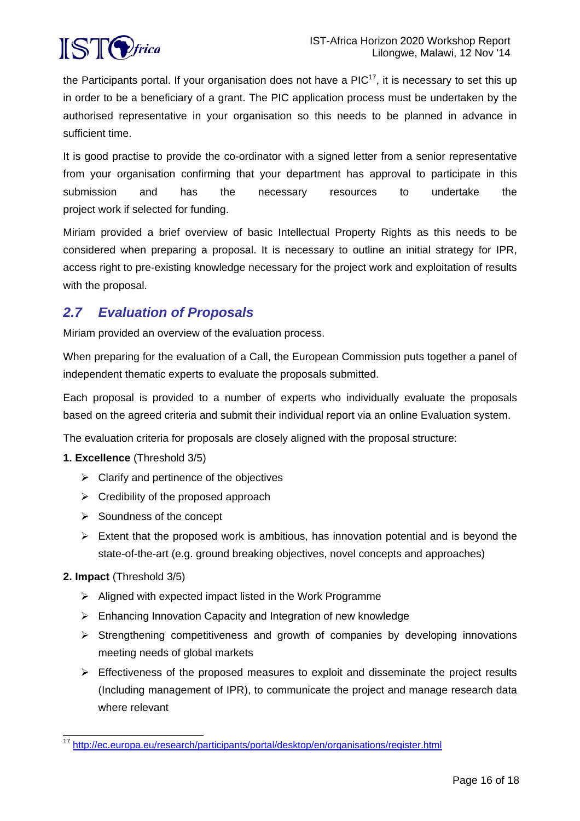

the Participants portal. If your organisation does not have a  $PIC<sup>17</sup>$ , it is necessary to set this up in order to be a beneficiary of a grant. The PIC application process must be undertaken by the authorised representative in your organisation so this needs to be planned in advance in sufficient time.

It is good practise to provide the co-ordinator with a signed letter from a senior representative from your organisation confirming that your department has approval to participate in this submission and has the necessary resources to undertake the project work if selected for funding.

Miriam provided a brief overview of basic Intellectual Property Rights as this needs to be considered when preparing a proposal. It is necessary to outline an initial strategy for IPR, access right to pre-existing knowledge necessary for the project work and exploitation of results with the proposal.

# *2.7 Evaluation of Proposals*

Miriam provided an overview of the evaluation process.

When preparing for the evaluation of a Call, the European Commission puts together a panel of independent thematic experts to evaluate the proposals submitted.

Each proposal is provided to a number of experts who individually evaluate the proposals based on the agreed criteria and submit their individual report via an online Evaluation system.

The evaluation criteria for proposals are closely aligned with the proposal structure:

## **1. Excellence** (Threshold 3/5)

- $\triangleright$  Clarify and pertinence of the objectives
- $\triangleright$  Credibility of the proposed approach
- $\triangleright$  Soundness of the concept
- $\triangleright$  Extent that the proposed work is ambitious, has innovation potential and is beyond the state-of-the-art (e.g. ground breaking objectives, novel concepts and approaches)

## **2. Impact** (Threshold 3/5)

- $\triangleright$  Aligned with expected impact listed in the Work Programme
- Enhancing Innovation Capacity and Integration of new knowledge
- $\triangleright$  Strengthening competitiveness and growth of companies by developing innovations meeting needs of global markets
- $\triangleright$  Effectiveness of the proposed measures to exploit and disseminate the project results (Including management of IPR), to communicate the project and manage research data where relevant

l <sup>17</sup> http://ec.europa.eu/research/participants/portal/desktop/en/organisations/register.html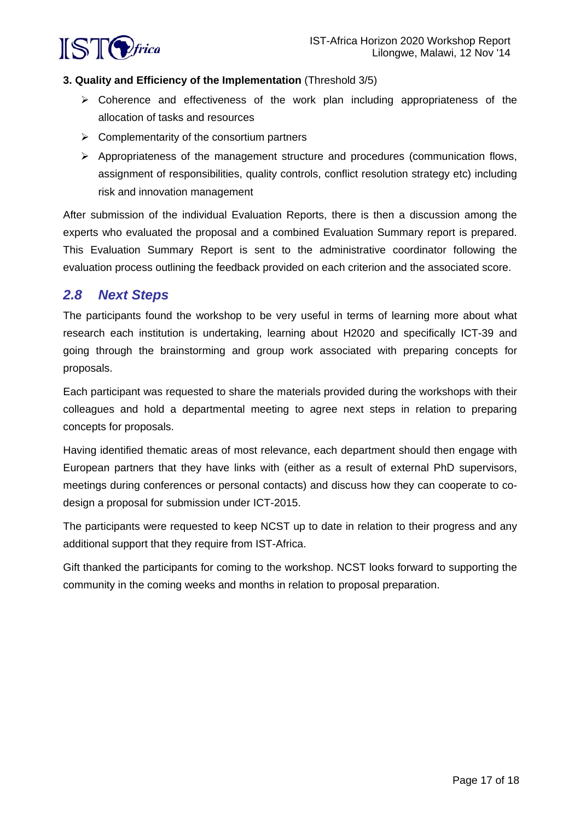

#### **3. Quality and Efficiency of the Implementation** (Threshold 3/5)

- Coherence and effectiveness of the work plan including appropriateness of the allocation of tasks and resources
- $\triangleright$  Complementarity of the consortium partners
- $\triangleright$  Appropriateness of the management structure and procedures (communication flows, assignment of responsibilities, quality controls, conflict resolution strategy etc) including risk and innovation management

After submission of the individual Evaluation Reports, there is then a discussion among the experts who evaluated the proposal and a combined Evaluation Summary report is prepared. This Evaluation Summary Report is sent to the administrative coordinator following the evaluation process outlining the feedback provided on each criterion and the associated score.

# *2.8 Next Steps*

The participants found the workshop to be very useful in terms of learning more about what research each institution is undertaking, learning about H2020 and specifically ICT-39 and going through the brainstorming and group work associated with preparing concepts for proposals.

Each participant was requested to share the materials provided during the workshops with their colleagues and hold a departmental meeting to agree next steps in relation to preparing concepts for proposals.

Having identified thematic areas of most relevance, each department should then engage with European partners that they have links with (either as a result of external PhD supervisors, meetings during conferences or personal contacts) and discuss how they can cooperate to codesign a proposal for submission under ICT-2015.

The participants were requested to keep NCST up to date in relation to their progress and any additional support that they require from IST-Africa.

Gift thanked the participants for coming to the workshop. NCST looks forward to supporting the community in the coming weeks and months in relation to proposal preparation.